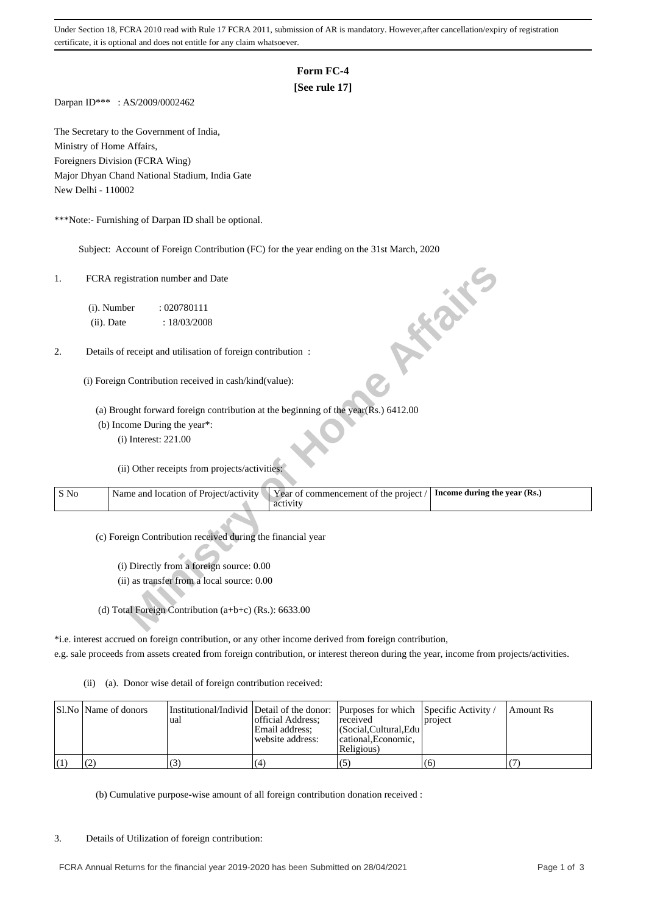Under Section 18, FCRA 2010 read with Rule 17 FCRA 2011, submission of AR is mandatory. However,after cancellation/expiry of registration certificate, it is optional and does not entitle for any claim whatsoever.

## **Form FC-4**

# **[See rule 17]**

Darpan ID\*\*\* : AS/2009/0002462

The Secretary to the Government of India, Ministry of Home Affairs, Foreigners Division (FCRA Wing) Major Dhyan Chand National Stadium, India Gate New Delhi - 110002

\*\*\*Note:- Furnishing of Darpan ID shall be optional.

Subject: Account of Foreign Contribution (FC) for the year ending on the 31st March, 2020

#### 2. Details of receipt and utilisation of foreign contribution :

| 1.   | FCRA registration number and Date<br><b>10 % %</b>                                                                         |
|------|----------------------------------------------------------------------------------------------------------------------------|
|      | (i). Number<br>: 020780111                                                                                                 |
|      | (ii). Date<br>: 18/03/2008                                                                                                 |
|      |                                                                                                                            |
| 2.   | Details of receipt and utilisation of foreign contribution :                                                               |
|      | (i) Foreign Contribution received in cash/kind(value):                                                                     |
|      | (a) Brought forward foreign contribution at the beginning of the year(Rs.) 6412.00                                         |
|      | (b) Income During the year*:                                                                                               |
|      | $(i)$ Interest: 221.00                                                                                                     |
|      | (ii) Other receipts from projects/activities:                                                                              |
| S No | Name and location of Project/activity<br>Year of commencement of the project /<br>Income during the year (Rs.)<br>activity |
|      | (c) Foreign Contribution received during the financial year                                                                |
|      | (i) Directly from a foreign source: 0.00                                                                                   |
|      | (ii) as transfer from a local source: 0.00                                                                                 |
|      |                                                                                                                            |
|      | (d) Total Foreign Contribution (a+b+c) (Rs.): 6633.00                                                                      |

\*i.e. interest accrued on foreign contribution, or any other income derived from foreign contribution,

e.g. sale proceeds from assets created from foreign contribution, or interest thereon during the year, income from projects/activities.

(ii) (a). Donor wise detail of foreign contribution received:

| Sl.No   Name of donors | 'ual | official Address;<br>Email address:<br>website address: | Institutional/Individ   Detail of the donor:   Purposes for which   Specific Activity /<br>received<br>l (Social.Cultural.Edu l<br>cational. Economic.<br>Religious) | project | Amount Rs |
|------------------------|------|---------------------------------------------------------|----------------------------------------------------------------------------------------------------------------------------------------------------------------------|---------|-----------|
|                        |      | (4)                                                     |                                                                                                                                                                      | (6)     |           |

(b) Cumulative purpose-wise amount of all foreign contribution donation received :

#### 3. Details of Utilization of foreign contribution: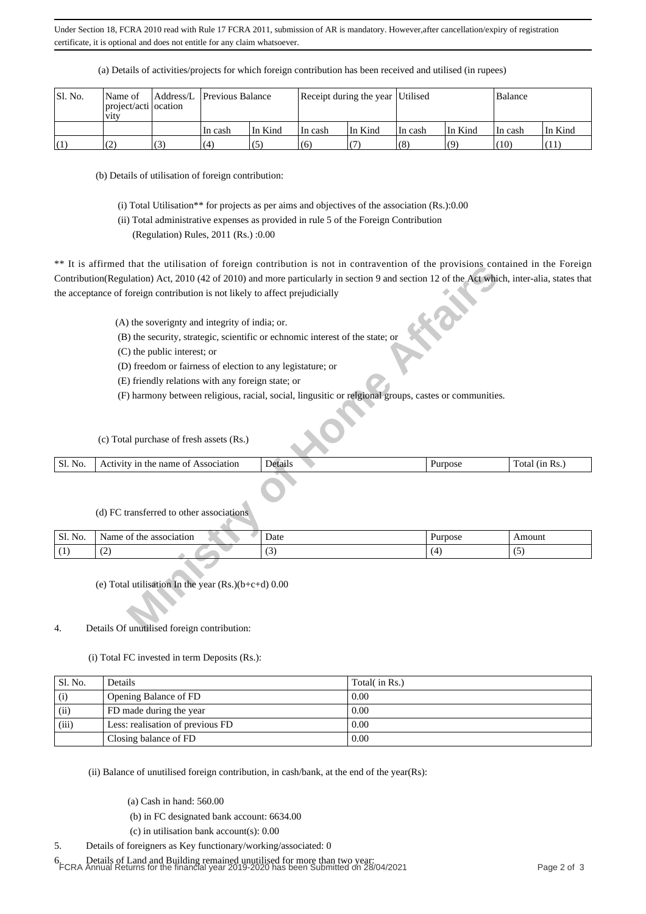Under Section 18, FCRA 2010 read with Rule 17 FCRA 2011, submission of AR is mandatory. However,after cancellation/expiry of registration certificate, it is optional and does not entitle for any claim whatsoever.

| SI. No. | Name of<br>project/acti ocation<br><b>V1tV</b> |     | Address/L Previous Balance |         | Receipt during the year Utilised |         |         |                    | Balance |         |
|---------|------------------------------------------------|-----|----------------------------|---------|----------------------------------|---------|---------|--------------------|---------|---------|
|         |                                                |     | 'In cash                   | In Kind | In cash                          | In Kind | In cash | In Kind            | In cash | In Kind |
| (1)     | (2)                                            | (3) | (4)                        | (5)     | (6)                              |         | (8)     | $\left( 0 \right)$ | (10)    | (11)    |

(a) Details of activities/projects for which foreign contribution has been received and utilised (in rupees)

(b) Details of utilisation of foreign contribution:

(i) Total Utilisation\*\* for projects as per aims and objectives of the association (Rs.):0.00

(ii) Total administrative expenses as provided in rule 5 of the Foreign Contribution

(Regulation) Rules, 2011 (Rs.) :0.00

\*\* It is affirmed that the utilisation of foreign contribution is not in contravention of the provisions contained in the Foreign Contribution(Regulation) Act, 2010 (42 of 2010) and more particularly in section 9 and section 12 of the Act which, inter-alia, states that the acceptance of foreign contribution is not likely to affect prejudicially

| Sl.<br>No. | Association<br>nar<br>1n<br>- OT<br>$A\cup$<br>ne<br>une<br>. IVI.<br>. | . )e<br>гтанг | urdose | n<br>ota<br>(1n<br>'RS.<br>. |
|------------|-------------------------------------------------------------------------|---------------|--------|------------------------------|
|            |                                                                         |               |        |                              |

|  | (d) FC transferred to other associations |  |  |
|--|------------------------------------------|--|--|
|  |                                          |  |  |

|         | It is arritmed that the utilisation of foreign contribution is not in contravention of the provisions contained in the Poreign                                                                                                                                                                                                                                                                                                         |         |         |                |  |  |  |
|---------|----------------------------------------------------------------------------------------------------------------------------------------------------------------------------------------------------------------------------------------------------------------------------------------------------------------------------------------------------------------------------------------------------------------------------------------|---------|---------|----------------|--|--|--|
|         | Contribution(Regulation) Act, 2010 (42 of 2010) and more particularly in section 9 and section 12 of the Act which, inter-alia, states that                                                                                                                                                                                                                                                                                            |         |         |                |  |  |  |
|         | the acceptance of foreign contribution is not likely to affect prejudicially                                                                                                                                                                                                                                                                                                                                                           |         |         |                |  |  |  |
|         | (A) the soverignty and integrity of india; or.<br>(B) the security, strategic, scientific or echnomic interest of the state; or<br>(C) the public interest; or<br>(D) freedom or fairness of election to any legistature; or<br>(E) friendly relations with any foreign state; or<br>(F) harmony between religious, racial, social, lingusitic or relgional groups, castes or communities.<br>(c) Total purchase of fresh assets (Rs.) |         |         |                |  |  |  |
| Sl. No. | Activity in the name of Association                                                                                                                                                                                                                                                                                                                                                                                                    | Details | Purpose | Total (in Rs.) |  |  |  |
|         | (d) FC transferred to other associations                                                                                                                                                                                                                                                                                                                                                                                               |         |         |                |  |  |  |
| Sl. No. | Name of the association                                                                                                                                                                                                                                                                                                                                                                                                                | Date    | Purpose | Amount         |  |  |  |
| (1)     | (2)                                                                                                                                                                                                                                                                                                                                                                                                                                    | (3)     | (4)     | (5)            |  |  |  |
| 4.      | (e) Total utilisation In the year $(Rs.)(b+c+d)$ 0.00<br>Details Of unutilised foreign contribution:                                                                                                                                                                                                                                                                                                                                   |         |         |                |  |  |  |

#### 4. Details Of unutilised foreign contribution:

(i) Total FC invested in term Deposits (Rs.):

| Sl. No. | Details                          | Total( in Rs.) |
|---------|----------------------------------|----------------|
| (i)     | Opening Balance of FD            | 0.00           |
| (ii)    | FD made during the year          | 0.00           |
| (iii)   | Less: realisation of previous FD | 0.00           |
|         | Closing balance of FD            | 0.00           |

(ii) Balance of unutilised foreign contribution, in cash/bank, at the end of the year(Rs):

(a) Cash in hand: 560.00

(b) in FC designated bank account: 6634.00

(c) in utilisation bank account(s): 0.00

5. Details of foreigners as Key functionary/working/associated: 0

6. Details of Land and Building remained unutilised for more than two year: FCRA Annual Returns for the financial year 2019-2020 has been Submitted on 28/04/2021 Page 2 of